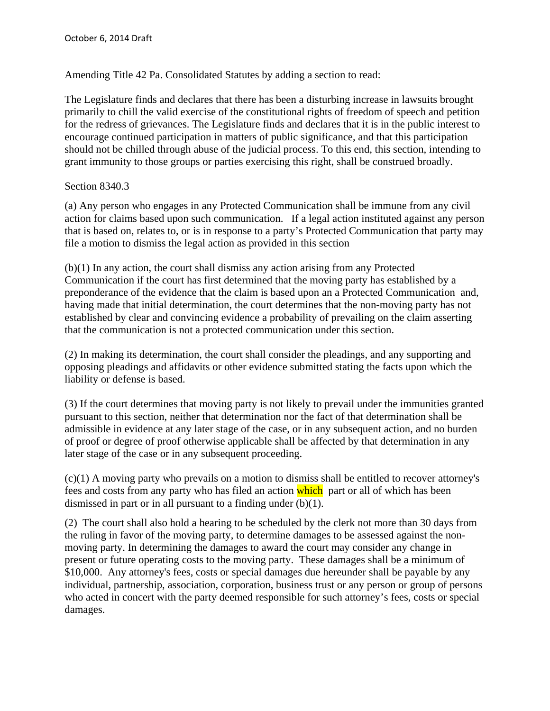Amending Title 42 Pa. Consolidated Statutes by adding a section to read:

The Legislature finds and declares that there has been a disturbing increase in lawsuits brought primarily to chill the valid exercise of the constitutional rights of freedom of speech and petition for the redress of grievances. The Legislature finds and declares that it is in the public interest to encourage continued participation in matters of public significance, and that this participation should not be chilled through abuse of the judicial process. To this end, this section, intending to grant immunity to those groups or parties exercising this right, shall be construed broadly.

## Section 8340.3

(a) Any person who engages in any Protected Communication shall be immune from any civil action for claims based upon such communication. If a legal action instituted against any person that is based on, relates to, or is in response to a party's Protected Communication that party may file a motion to dismiss the legal action as provided in this section

(b)(1) In any action, the court shall dismiss any action arising from any Protected Communication if the court has first determined that the moving party has established by a preponderance of the evidence that the claim is based upon an a Protected Communication and, having made that initial determination, the court determines that the non-moving party has not established by clear and convincing evidence a probability of prevailing on the claim asserting that the communication is not a protected communication under this section.

(2) In making its determination, the court shall consider the pleadings, and any supporting and opposing pleadings and affidavits or other evidence submitted stating the facts upon which the liability or defense is based.

(3) If the court determines that moving party is not likely to prevail under the immunities granted pursuant to this section, neither that determination nor the fact of that determination shall be admissible in evidence at any later stage of the case, or in any subsequent action, and no burden of proof or degree of proof otherwise applicable shall be affected by that determination in any later stage of the case or in any subsequent proceeding.

(c)(1) A moving party who prevails on a motion to dismiss shall be entitled to recover attorney's fees and costs from any party who has filed an action which part or all of which has been dismissed in part or in all pursuant to a finding under (b)(1).

(2) The court shall also hold a hearing to be scheduled by the clerk not more than 30 days from the ruling in favor of the moving party, to determine damages to be assessed against the nonmoving party. In determining the damages to award the court may consider any change in present or future operating costs to the moving party. These damages shall be a minimum of \$10,000. Any attorney's fees, costs or special damages due hereunder shall be payable by any individual, partnership, association, corporation, business trust or any person or group of persons who acted in concert with the party deemed responsible for such attorney's fees, costs or special damages.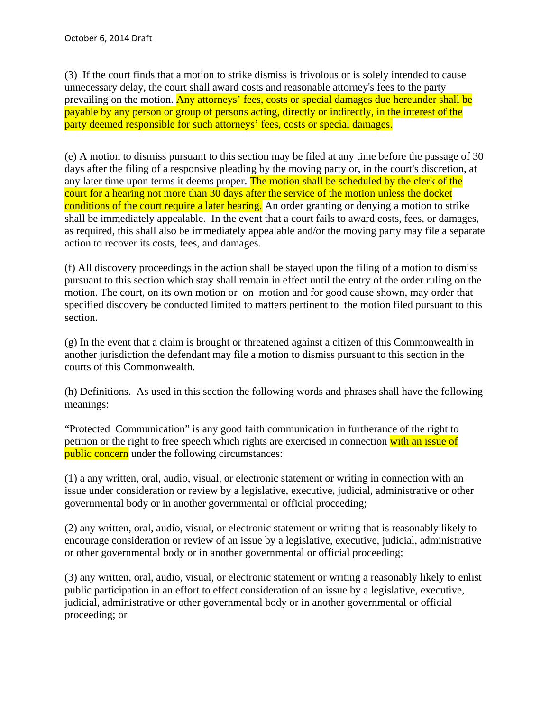(3) If the court finds that a motion to strike dismiss is frivolous or is solely intended to cause unnecessary delay, the court shall award costs and reasonable attorney's fees to the party prevailing on the motion. Any attorneys' fees, costs or special damages due hereunder shall be payable by any person or group of persons acting, directly or indirectly, in the interest of the party deemed responsible for such attorneys' fees, costs or special damages.

(e) A motion to dismiss pursuant to this section may be filed at any time before the passage of 30 days after the filing of a responsive pleading by the moving party or, in the court's discretion, at any later time upon terms it deems proper. The motion shall be scheduled by the clerk of the court for a hearing not more than 30 days after the service of the motion unless the docket conditions of the court require a later hearing. An order granting or denying a motion to strike shall be immediately appealable. In the event that a court fails to award costs, fees, or damages, as required, this shall also be immediately appealable and/or the moving party may file a separate action to recover its costs, fees, and damages.

(f) All discovery proceedings in the action shall be stayed upon the filing of a motion to dismiss pursuant to this section which stay shall remain in effect until the entry of the order ruling on the motion. The court, on its own motion or on motion and for good cause shown, may order that specified discovery be conducted limited to matters pertinent to the motion filed pursuant to this section.

(g) In the event that a claim is brought or threatened against a citizen of this Commonwealth in another jurisdiction the defendant may file a motion to dismiss pursuant to this section in the courts of this Commonwealth.

(h) Definitions. As used in this section the following words and phrases shall have the following meanings:

"Protected Communication" is any good faith communication in furtherance of the right to petition or the right to free speech which rights are exercised in connection with an issue of public concern under the following circumstances:

(1) a any written, oral, audio, visual, or electronic statement or writing in connection with an issue under consideration or review by a legislative, executive, judicial, administrative or other governmental body or in another governmental or official proceeding;

(2) any written, oral, audio, visual, or electronic statement or writing that is reasonably likely to encourage consideration or review of an issue by a legislative, executive, judicial, administrative or other governmental body or in another governmental or official proceeding;

(3) any written, oral, audio, visual, or electronic statement or writing a reasonably likely to enlist public participation in an effort to effect consideration of an issue by a legislative, executive, judicial, administrative or other governmental body or in another governmental or official proceeding; or